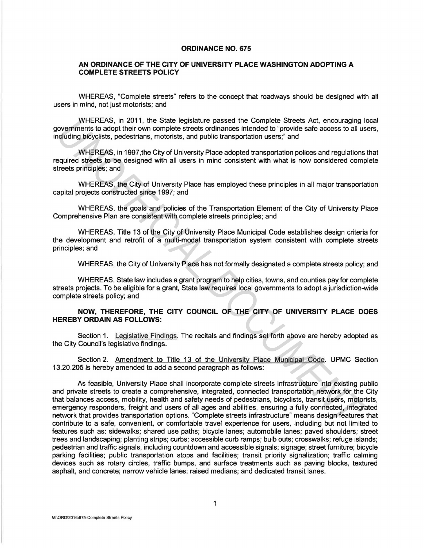## ORDINANCE NO. 675

## AN ORDINANCE OF THE CITY OF UNIVERSITY PLACE WASHINGTON ADOPTING A COMPLETE STREETS POLICY

WHEREAS, "Complete streets" refers to the concept that roadways should be designed with all users in mind, not just motorists; and

WHEREAS, in 2011, the State legislature passed the Complete Streets Act, encouraging local governments to adopt their own complete streets ordinances intended to "provide safe access to all users, including bicyclists, pedestrians, motorists, and public transportation users;" and

WHEREAS, in 1997,the City of University Place adopted transportation polices and regulations that required streets to be designed with all users in mind consistent with what is now considered complete streets principles; and

WHEREAS, the City of University Place has employed these principles in all major transportation capital projects constructed since 1997; and

WHEREAS, the goals and policies of the Transportation Element of the City of University Place Comprehensive Plan are consistent with complete streets principles; and

WHEREAS, Title 13 of the City of University Place Municipal Code establishes design criteria for the development and retrofit of a multi-modal transportation system consistent with complete streets principles; and

WHEREAS, the City of University Place has not formally designated a complete streets policy; and

WHEREAS, State law includes a grant program to help cities, towns, and counties pay for complete streets projects. To be eligible for a grant, State law requires local governments to adopt a jurisdiction-wide complete streets policy; and

## NOW, THEREFORE, THE CITY COUNCIL OF THE CITY OF UNIVERSITY PLACE DOES HEREBY ORDAIN AS FOLLOWS:

Section 1. Legislative Findings. The recitals and findings set forth above are hereby adopted as the City Council's legislative findings.

Section 2. Amendment to Title 13 of the University Place Municipal Code. UPMC Section 13.20.205 is hereby amended to add a second paragraph as follows:

As feasible, University Place shall incorporate complete streets infrastructure into existing public and private streets to create a comprehensive, integrated, connected transportation network for the City that balances access, mobility, health and safety needs of pedestrians, bicyclists, transit users, motorists, emergency responders, freight and users of all ages and abilities, ensuring a fully connected, integrated network that provides transportation options. "Complete streets infrastructure" means design features that contribute to a safe, convenient, or comfortable travel experience for users, including but not limited to features such as: sidewalks; shared use paths; bicycle lanes; automobile lanes; paved shoulders; street trees and landscaping; planting strips; curbs; accessible curb ramps; bulb outs; crosswalks; refuge islands; pedestrian and traffic signals, including countdown and accessible signals; signage; street furniture; bicycle parking facilities; public transportation stops and facilities; transit priority signalization; traffic calming devices such as rotary circles, traffic bumps, and surface treatments such as paving blocks, textured asphalt, and concrete; narrow vehicle lanes; raised medians; and dedicated transit lanes. WHEREAS, in 2011, the State legislative passed the Complete streets *nchain*ed the concernent to adopt their own complete streets ordinances intended to "provide safe access to all using the priority and public transportat